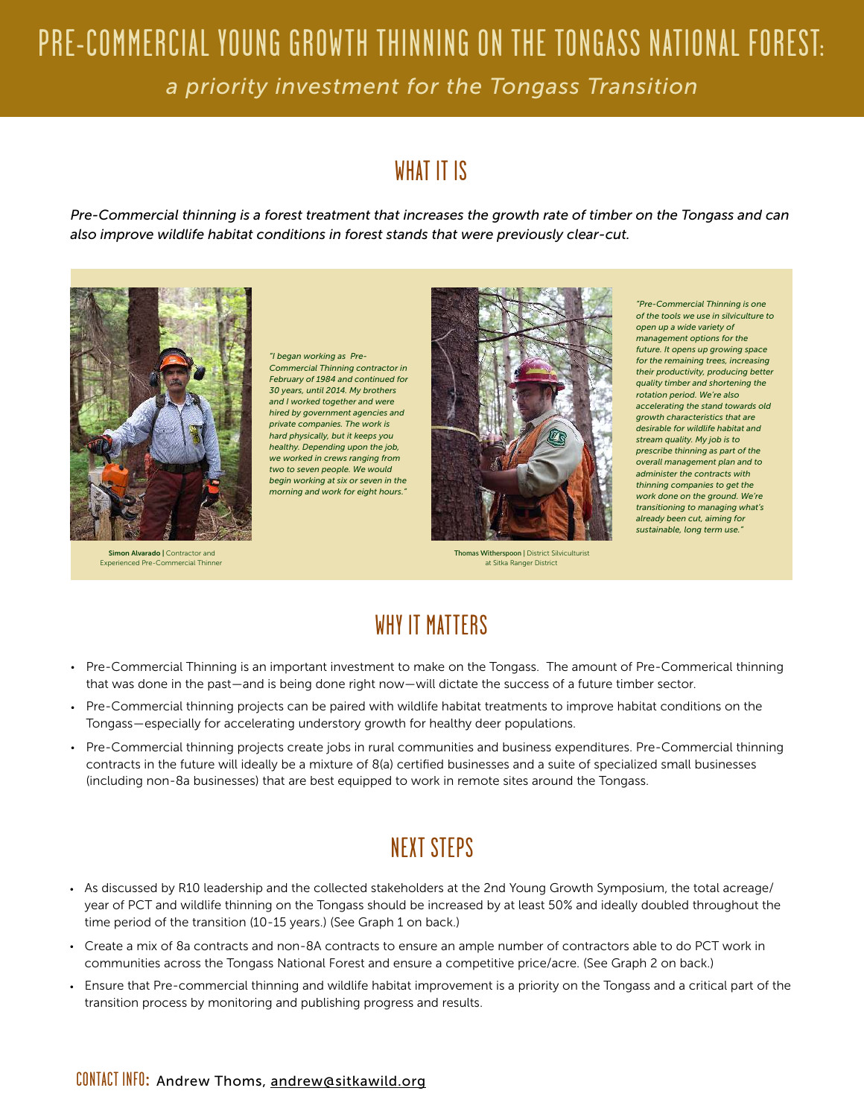## PRE-COMMERCIAL YOUNG GROWTH THINNING ON THE TONGASS NATIONAL FOREST: *a priority investment for the Tongass Transition*

## WHAT IT IS

*Pre-Commercial thinning is a forest treatment that increases the growth rate of timber on the Tongass and can also improve wildlife habitat conditions in forest stands that were previously clear-cut.*



Simon Alvarado | Contractor and Experienced Pre-Commercial Thinner

*"I began working as Pre-Commercial Thinning contractor in February of 1984 and continued for 30 years, until 2014. My brothers and I worked together and were hired by government agencies and private companies. The work is hard physically, but it keeps you healthy. Depending upon the job, we worked in crews ranging from two to seven people. We would begin working at six or seven in the morning and work for eight hours."*



**Thomas Witherspoon | District Silviculturist** at Sitka Ranger District

*"Pre-Commercial Thinning is one of the tools we use in silviculture to open up a wide variety of management options for the future. It opens up growing space for the remaining trees, increasing their productivity, producing better quality timber and shortening the rotation period. We're also accelerating the stand towards old growth characteristics that are desirable for wildlife habitat and stream quality. My job is to prescribe thinning as part of the overall management plan and to administer the contracts with thinning companies to get the work done on the ground. We're transitioning to managing what's already been cut, aiming for sustainable, long term use."*

## WHY IT MATTERS

- Pre-Commercial Thinning is an important investment to make on the Tongass. The amount of Pre-Commerical thinning that was done in the past—and is being done right now—will dictate the success of a future timber sector.
- Pre-Commercial thinning projects can be paired with wildlife habitat treatments to improve habitat conditions on the Tongass—especially for accelerating understory growth for healthy deer populations.
- Pre-Commercial thinning projects create jobs in rural communities and business expenditures. Pre-Commercial thinning contracts in the future will ideally be a mixture of 8(a) certified businesses and a suite of specialized small businesses (including non-8a businesses) that are best equipped to work in remote sites around the Tongass.

## NEXT STEPS

- As discussed by R10 leadership and the collected stakeholders at the 2nd Young Growth Symposium, the total acreage/ year of PCT and wildlife thinning on the Tongass should be increased by at least 50% and ideally doubled throughout the time period of the transition (10-15 years.) (See Graph 1 on back.)
- Create a mix of 8a contracts and non-8A contracts to ensure an ample number of contractors able to do PCT work in communities across the Tongass National Forest and ensure a competitive price/acre. (See Graph 2 on back.)
- Ensure that Pre-commercial thinning and wildlife habitat improvement is a priority on the Tongass and a critical part of the transition process by monitoring and publishing progress and results.